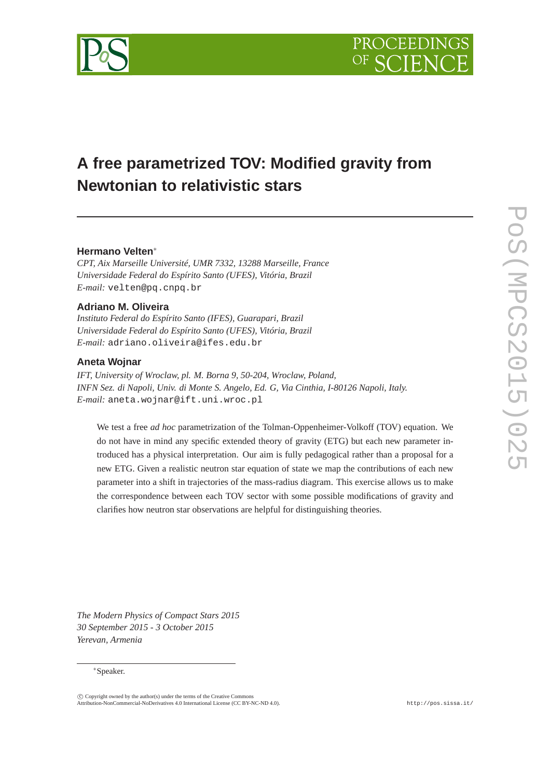

# **A free parametrized TOV: Modified gravity from Newtonian to relativistic stars**

# **Hermano Velten**∗

*CPT, Aix Marseille Université, UMR 7332, 13288 Marseille, France Universidade Federal do Espírito Santo (UFES), Vitória, Brazil E-mail:* velten@pq.cnpq.br

# **Adriano M. Oliveira**

*Instituto Federal do Espírito Santo (IFES), Guarapari, Brazil Universidade Federal do Espírito Santo (UFES), Vitória, Brazil E-mail:* adriano.oliveira@ifes.edu.br

## **Aneta Wojnar**

*IFT, University of Wroclaw, pl. M. Borna 9, 50-204, Wroclaw, Poland, INFN Sez. di Napoli, Univ. di Monte S. Angelo, Ed. G, Via Cinthia, I-80126 Napoli, Italy. E-mail:* aneta.wojnar@ift.uni.wroc.pl

We test a free *ad hoc* parametrization of the Tolman-Oppenheimer-Volkoff (TOV) equation. We do not have in mind any specific extended theory of gravity (ETG) but each new parameter introduced has a physical interpretation. Our aim is fully pedagogical rather than a proposal for a new ETG. Given a realistic neutron star equation of state we map the contributions of each new parameter into a shift in trajectories of the mass-radius diagram. This exercise allows us to make the correspondence between each TOV sector with some possible modifications of gravity and clarifies how neutron star observations are helpful for distinguishing theories.

*The Modern Physics of Compact Stars 2015 30 September 2015 - 3 October 2015 Yerevan, Armenia*

#### ∗Speaker.

 $\circled{c}$  Copyright owned by the author(s) under the terms of the Creative Common Attribution-NonCommercial-NoDerivatives 4.0 International License (CC BY-NC-ND 4.0). http://pos.sissa.it/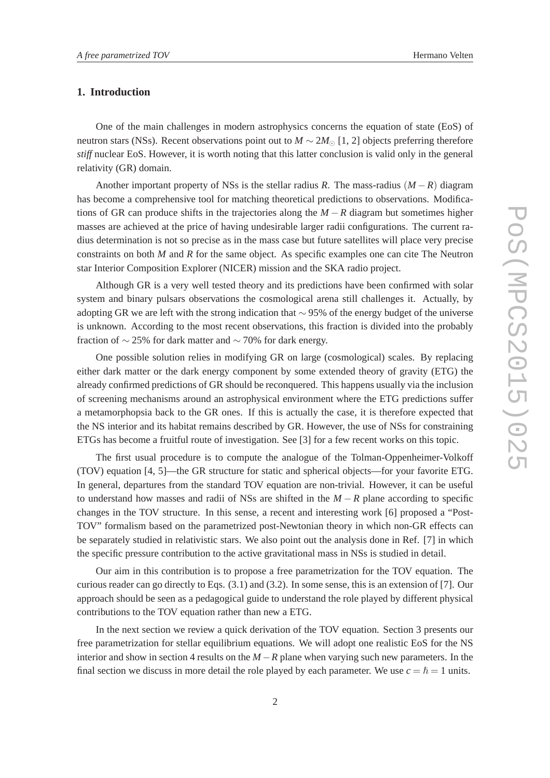# **1. Introduction**

One of the main challenges in modern astrophysics concerns the equation of state (EoS) of neutron stars (NSs). Recent observations point out to  $M \sim 2M_{\odot}$  [1, 2] objects preferring therefore *stiff* nuclear EoS. However, it is worth noting that this latter conclusion is valid only in the general relativity (GR) domain.

Another important property of NSs is the stellar radius *R*. The mass-radius  $(M - R)$  diagram has become a comprehensive tool for matching theoretical predictions to observations. Modifications of GR can produce shifts in the trajectories along the *M* − *R* diagram but sometimes higher masses are achieved at the price of having undesirable larger radii configurations. The current radius determination is not so precise as in the mass case but future satellites will place very precise constraints on both *M* and *R* for the same object. As specific examples one can cite The Neutron star Interior Composition Explorer (NICER) mission and the SKA radio project.

Although GR is a very well tested theory and its predictions have been confirmed with solar system and binary pulsars observations the cosmological arena still challenges it. Actually, by adopting GR we are left with the strong indication that  $\sim$  95% of the energy budget of the universe is unknown. According to the most recent observations, this fraction is divided into the probably fraction of  $\sim$  25% for dark matter and  $\sim$  70% for dark energy.

One possible solution relies in modifying GR on large (cosmological) scales. By replacing either dark matter or the dark energy component by some extended theory of gravity (ETG) the already confirmed predictions of GR should be reconquered. This happens usually via the inclusion of screening mechanisms around an astrophysical environment where the ETG predictions suffer a metamorphopsia back to the GR ones. If this is actually the case, it is therefore expected that the NS interior and its habitat remains described by GR. However, the use of NSs for constraining ETGs has become a fruitful route of investigation. See [3] for a few recent works on this topic.

The first usual procedure is to compute the analogue of the Tolman-Oppenheimer-Volkoff (TOV) equation [4, 5]—the GR structure for static and spherical objects—for your favorite ETG. In general, departures from the standard TOV equation are non-trivial. However, it can be useful to understand how masses and radii of NSs are shifted in the *M* − *R* plane according to specific changes in the TOV structure. In this sense, a recent and interesting work [6] proposed a "Post-TOV" formalism based on the parametrized post-Newtonian theory in which non-GR effects can be separately studied in relativistic stars. We also point out the analysis done in Ref. [7] in which the specific pressure contribution to the active gravitational mass in NSs is studied in detail.

Our aim in this contribution is to propose a free parametrization for the TOV equation. The curious reader can go directly to Eqs. (3.1) and (3.2). In some sense, this is an extension of [7]. Our approach should be seen as a pedagogical guide to understand the role played by different physical contributions to the TOV equation rather than new a ETG.

In the next section we review a quick derivation of the TOV equation. Section 3 presents our free parametrization for stellar equilibrium equations. We will adopt one realistic EoS for the NS interior and show in section 4 results on the *M* −*R* plane when varying such new parameters. In the final section we discuss in more detail the role played by each parameter. We use  $c = \hbar = 1$  units.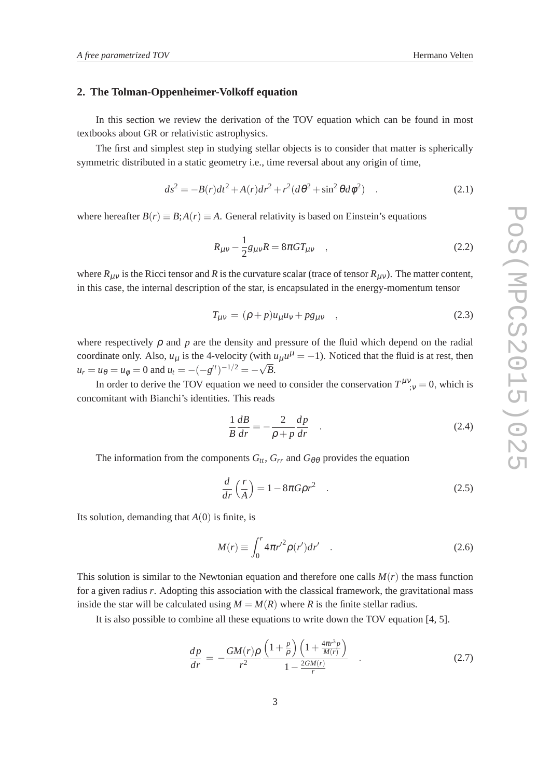#### **2. The Tolman-Oppenheimer-Volkoff equation**

In this section we review the derivation of the TOV equation which can be found in most textbooks about GR or relativistic astrophysics.

The first and simplest step in studying stellar objects is to consider that matter is spherically symmetric distributed in a static geometry i.e., time reversal about any origin of time,

$$
ds^{2} = -B(r)dt^{2} + A(r)dr^{2} + r^{2}(d\theta^{2} + \sin^{2}\theta d\phi^{2})
$$
 (2.1)

where hereafter  $B(r) \equiv B$ ;  $A(r) \equiv A$ . General relativity is based on Einstein's equations

$$
R_{\mu\nu} - \frac{1}{2}g_{\mu\nu}R = 8\pi GT_{\mu\nu} \quad , \tag{2.2}
$$

where  $R_{\mu\nu}$  is the Ricci tensor and *R* is the curvature scalar (trace of tensor  $R_{\mu\nu}$ ). The matter content, in this case, the internal description of the star, is encapsulated in the energy-momentum tensor

$$
T_{\mu\nu} = (\rho + p)u_{\mu}u_{\nu} + pg_{\mu\nu} \quad , \tag{2.3}
$$

where respectively  $\rho$  and  $p$  are the density and pressure of the fluid which depend on the radial coordinate only. Also,  $u_{\mu}$  is the 4-velocity (with  $u_{\mu}u^{\mu} = -1$ ). Noticed that the fluid is at rest, then  $u_r = u_\theta = u_\phi = 0$  and  $u_t = -(-g^{tt})^{-1/2} = -\sqrt{B}$ .

In order to derive the TOV equation we need to consider the conservation  $T^{\mu\nu}_{;\nu} = 0$ , which is concomitant with Bianchi's identities. This reads

$$
\frac{1}{B}\frac{dB}{dr} = -\frac{2}{\rho + p}\frac{dp}{dr} \quad . \tag{2.4}
$$

The information from the components  $G_t$ ,  $G_{rr}$  and  $G_{\theta\theta}$  provides the equation

$$
\frac{d}{dr}\left(\frac{r}{A}\right) = 1 - 8\pi G\rho r^2 \quad . \tag{2.5}
$$

Its solution, demanding that  $A(0)$  is finite, is

$$
M(r) \equiv \int_0^r 4\pi r'^2 \rho(r') dr' \quad . \tag{2.6}
$$

This solution is similar to the Newtonian equation and therefore one calls  $M(r)$  the mass function for a given radius *r*. Adopting this association with the classical framework, the gravitational mass inside the star will be calculated using  $M = M(R)$  where *R* is the finite stellar radius.

It is also possible to combine all these equations to write down the TOV equation [4, 5].

$$
\frac{dp}{dr} = -\frac{GM(r)\rho}{r^2} \frac{\left(1 + \frac{p}{\rho}\right)\left(1 + \frac{4\pi r^3 p}{M(r)}\right)}{1 - \frac{2GM(r)}{r}} \quad . \tag{2.7}
$$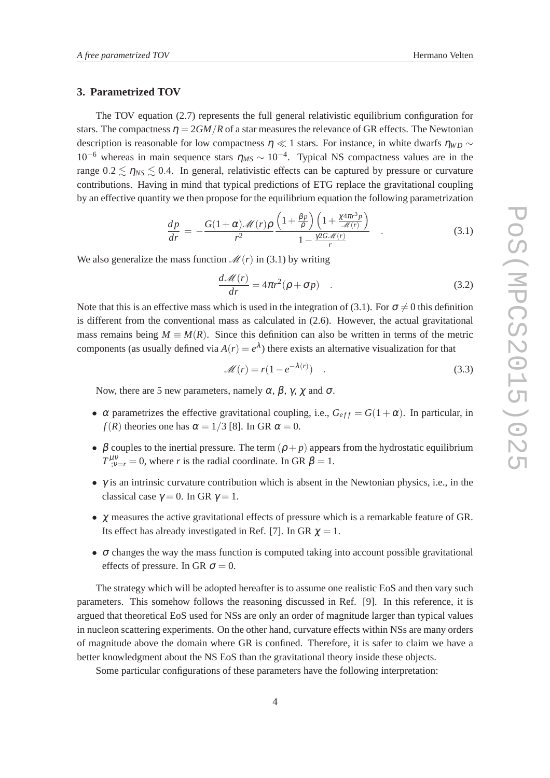### **3. Parametrized TOV**

The TOV equation (2.7) represents the full general relativistic equilibrium configuration for stars. The compactness  $\eta = 2GM/R$  of a star measures the relevance of GR effects. The Newtonian description is reasonable for low compactness  $\eta \ll 1$  stars. For instance, in white dwarfs  $\eta_{WD} \sim$ 10<sup>-6</sup> whereas in main sequence stars  $η<sub>MS</sub> ~ 10<sup>-4</sup>$ . Typical NS compactness values are in the range  $0.2 \le \eta_{NS} \le 0.4$ . In general, relativistic effects can be captured by pressure or curvature contributions. Having in mind that typical predictions of ETG replace the gravitational coupling by an effective quantity we then propose for the equilibrium equation the following parametrization

$$
\frac{dp}{dr} = -\frac{G(1+\alpha)\mathcal{M}(r)\rho}{r^2} \frac{\left(1+\frac{\beta p}{\rho}\right)\left(1+\frac{\chi 4\pi r^3 p}{\mathcal{M}(r)}\right)}{1-\frac{\gamma 2G\mathcal{M}(r)}{r}}\quad .
$$
\n(3.1)

We also generalize the mass function  $\mathcal{M}(r)$  in (3.1) by writing

$$
\frac{d\mathcal{M}(r)}{dr} = 4\pi r^2 (\rho + \sigma p) \quad . \tag{3.2}
$$

Note that this is an effective mass which is used in the integration of (3.1). For  $\sigma \neq 0$  this definition is different from the conventional mass as calculated in (2.6). However, the actual gravitational mass remains being  $M \equiv M(R)$ . Since this definition can also be written in terms of the metric components (as usually defined via  $A(r) = e^{\lambda}$ ) there exists an alternative visualization for that

> $\mathcal{M}(r) = r(1 - e^{-\lambda(r)})$  $(3.3)$

Now, there are 5 new parameters, namely  $\alpha$ ,  $\beta$ ,  $\gamma$ ,  $\chi$  and  $\sigma$ .

- $\alpha$  parametrizes the effective gravitational coupling, i.e.,  $G_{eff} = G(1 + \alpha)$ . In particular, in *f*(*R*) theories one has  $\alpha = 1/3$  [8]. In GR  $\alpha = 0$ .
- $\beta$  couples to the inertial pressure. The term  $(\rho + p)$  appears from the hydrostatic equilibrium  $T^{\mu\nu}_{;\nu=r}=0$ , where *r* is the radial coordinate. In GR  $\beta=1$ .
- $\bullet$   $\gamma$  is an intrinsic curvature contribution which is absent in the Newtonian physics, i.e., in the classical case  $\gamma = 0$ . In GR  $\gamma = 1$ .
- $\chi$  measures the active gravitational effects of pressure which is a remarkable feature of GR. Its effect has already investigated in Ref. [7]. In GR  $\chi = 1$ .
- $\bullet$   $\sigma$  changes the way the mass function is computed taking into account possible gravitational effects of pressure. In GR  $\sigma = 0$ .

The strategy which will be adopted hereafter is to assume one realistic EoS and then vary such parameters. This somehow follows the reasoning discussed in Ref. [9]. In this reference, it is argued that theoretical EoS used for NSs are only an order of magnitude larger than typical values in nucleon scattering experiments. On the other hand, curvature effects within NSs are many orders of magnitude above the domain where GR is confined. Therefore, it is safer to claim we have a better knowledgment about the NS EoS than the gravitational theory inside these objects.

Some particular configurations of these parameters have the following interpretation: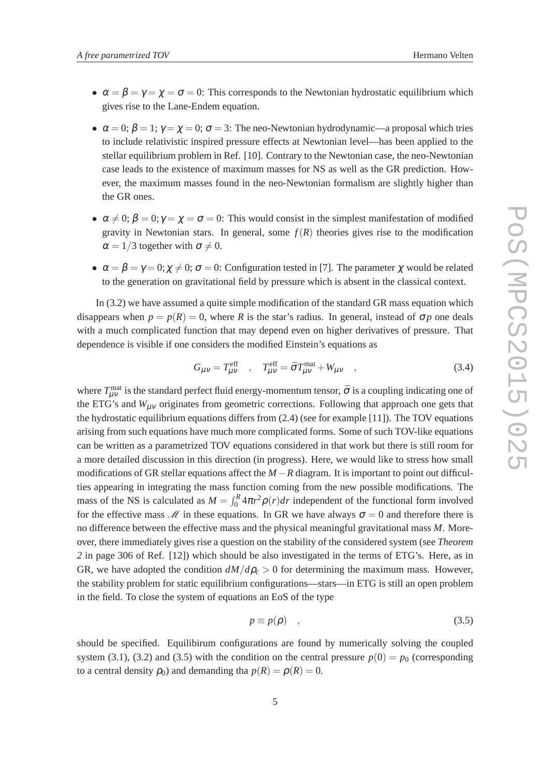- 
- $\alpha = \beta = \gamma = \chi = \sigma = 0$ : This corresponds to the Newtonian hydrostatic equilibrium which gives rise to the Lane-Endem equation.
- $\alpha = 0$ ;  $\beta = 1$ ;  $\gamma = \gamma = 0$ ;  $\sigma = 3$ : The neo-Newtonian hydrodynamic—a proposal which tries to include relativistic inspired pressure effects at Newtonian level—has been applied to the stellar equilibrium problem in Ref. [10]. Contrary to the Newtonian case, the neo-Newtonian case leads to the existence of maximum masses for NS as well as the GR prediction. However, the maximum masses found in the neo-Newtonian formalism are slightly higher than the GR ones.
- $\alpha \neq 0$ ;  $\beta = 0$ ;  $\gamma = \gamma = \sigma = 0$ : This would consist in the simplest manifestation of modified gravity in Newtonian stars. In general, some  $f(R)$  theories gives rise to the modification  $\alpha = 1/3$  together with  $\sigma \neq 0$ .
- $\alpha = \beta = \gamma = 0; \gamma \neq 0; \sigma = 0$ : Configuration tested in [7]. The parameter  $\gamma$  would be related to the generation on gravitational field by pressure which is absent in the classical context.

In (3.2) we have assumed a quite simple modification of the standard GR mass equation which disappears when  $p = p(R) = 0$ , where *R* is the star's radius. In general, instead of  $\sigma p$  one deals with a much complicated function that may depend even on higher derivatives of pressure. That dependence is visible if one considers the modified Einstein's equations as

$$
G_{\mu\nu} = T_{\mu\nu}^{\text{eff}} \quad , \quad T_{\mu\nu}^{\text{eff}} = \bar{\sigma} T_{\mu\nu}^{\text{mat}} + W_{\mu\nu} \quad , \tag{3.4}
$$

where  $T_{\mu\nu}^{\text{mat}}$  is the standard perfect fluid energy-momentum tensor,  $\bar{\sigma}$  is a coupling indicating one of the ETG's and  $W_{\mu\nu}$  originates from geometric corrections. Following that approach one gets that the hydrostatic equilibrium equations differs from (2.4) (see for example [11]). The TOV equations arising from such equations have much more complicated forms. Some of such TOV-like equations can be written as a parametrized TOV equations considered in that work but there is still room for a more detailed discussion in this direction (in progress). Here, we would like to stress how small modifications of GR stellar equations affect the  $M - R$  diagram. It is important to point out difficulties appearing in integrating the mass function coming from the new possible modifications. The mass of the NS is calculated as  $M = \int_0^R 4\pi r^2 \rho(r) dr$  independent of the functional form involved for the effective mass  $\mathcal M$  in these equations. In GR we have always  $\sigma = 0$  and therefore there is no difference between the effective mass and the physical meaningful gravitational mass *M*. Moreover, there immediately gives rise a question on the stability of the considered system (see *Theorem 2* in page 306 of Ref. [12]) which should be also investigated in the terms of ETG's. Here, as in GR, we have adopted the condition  $dM/d\rho_c > 0$  for determining the maximum mass. However, the stability problem for static equilibrium configurations—stars—in ETG is still an open problem in the field. To close the system of equations an EoS of the type

$$
p \equiv p(\rho) \quad , \tag{3.5}
$$

should be specified. Equilibirum configurations are found by numerically solving the coupled system (3.1), (3.2) and (3.5) with the condition on the central pressure  $p(0) = p_0$  (corresponding to a central density  $\rho_0$ ) and demanding tha  $p(R) = \rho(R) = 0$ .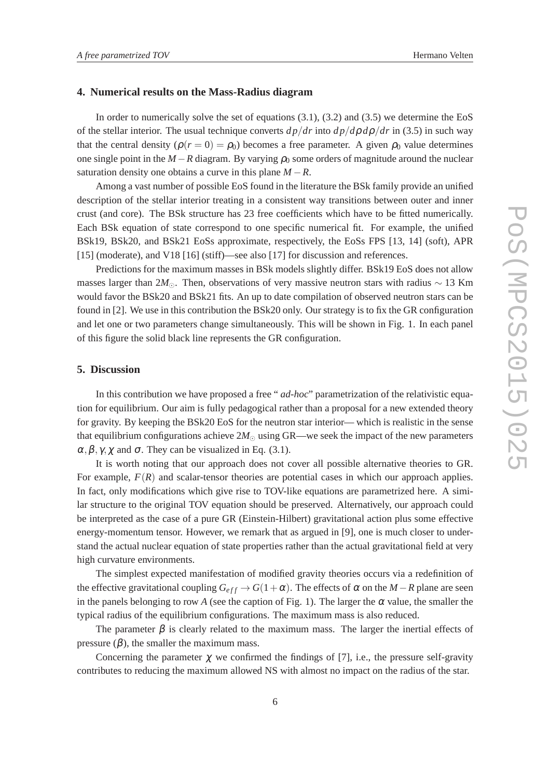#### **4. Numerical results on the Mass-Radius diagram**

In order to numerically solve the set of equations  $(3.1)$ ,  $(3.2)$  and  $(3.5)$  we determine the EoS of the stellar interior. The usual technique converts  $dp/dr$  into  $dp/d\rho d\rho/dr$  in (3.5) in such way that the central density  $(\rho(r=0) = \rho_0)$  becomes a free parameter. A given  $\rho_0$  value determines one single point in the  $M - R$  diagram. By varying  $\rho_0$  some orders of magnitude around the nuclear saturation density one obtains a curve in this plane  $M - R$ .

Among a vast number of possible EoS found in the literature the BSk family provide an unified description of the stellar interior treating in a consistent way transitions between outer and inner crust (and core). The BSk structure has 23 free coefficients which have to be fitted numerically. Each BSk equation of state correspond to one specific numerical fit. For example, the unified BSk19, BSk20, and BSk21 EoSs approximate, respectively, the EoSs FPS [13, 14] (soft), APR [15] (moderate), and V18 [16] (stiff)—see also [17] for discussion and references.

Predictions for the maximum masses in BSk models slightly differ. BSk19 EoS does not allow masses larger than 2 $M_{\odot}$ . Then, observations of very massive neutron stars with radius ~ 13 Km would favor the BSk20 and BSk21 fits. An up to date compilation of observed neutron stars can be found in [2]. We use in this contribution the BSk20 only. Our strategy is to fix the GR configuration and let one or two parameters change simultaneously. This will be shown in Fig. 1. In each panel of this figure the solid black line represents the GR configuration.

## **5. Discussion**

In this contribution we have proposed a free " *ad-hoc*" parametrization of the relativistic equation for equilibrium. Our aim is fully pedagogical rather than a proposal for a new extended theory for gravity. By keeping the BSk20 EoS for the neutron star interior— which is realistic in the sense that equilibrium configurations achieve  $2M_{\odot}$  using GR—we seek the impact of the new parameters  $\alpha, \beta, \gamma, \gamma$  and  $\sigma$ . They can be visualized in Eq. (3.1).

It is worth noting that our approach does not cover all possible alternative theories to GR. For example,  $F(R)$  and scalar-tensor theories are potential cases in which our approach applies. In fact, only modifications which give rise to TOV-like equations are parametrized here. A similar structure to the original TOV equation should be preserved. Alternatively, our approach could be interpreted as the case of a pure GR (Einstein-Hilbert) gravitational action plus some effective energy-momentum tensor. However, we remark that as argued in [9], one is much closer to understand the actual nuclear equation of state properties rather than the actual gravitational field at very high curvature environments.

The simplest expected manifestation of modified gravity theories occurs via a redefinition of the effective gravitational coupling  $G_{eff} \rightarrow G(1+\alpha)$ . The effects of  $\alpha$  on the *M* − *R* plane are seen in the panels belonging to row *A* (see the caption of Fig. 1). The larger the  $\alpha$  value, the smaller the typical radius of the equilibrium configurations. The maximum mass is also reduced.

The parameter  $\beta$  is clearly related to the maximum mass. The larger the inertial effects of pressure  $(\beta)$ , the smaller the maximum mass.

Concerning the parameter  $\chi$  we confirmed the findings of [7], i.e., the pressure self-gravity contributes to reducing the maximum allowed NS with almost no impact on the radius of the star.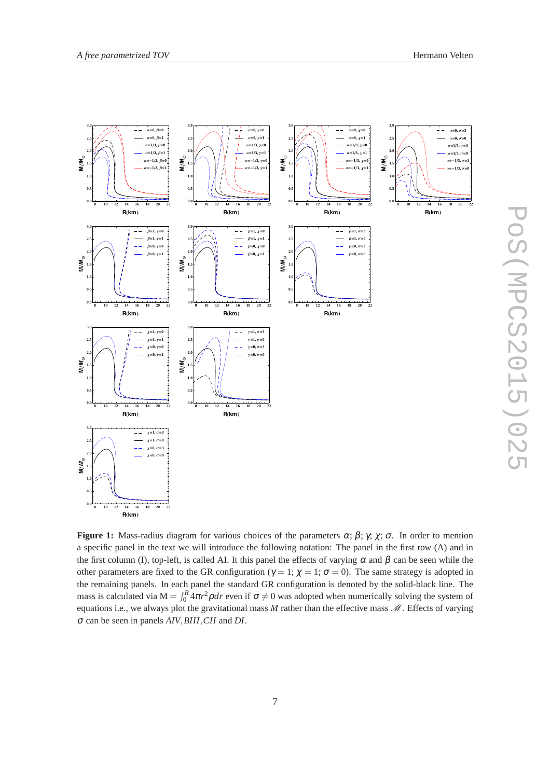

**Figure 1:** Mass-radius diagram for various choices of the parameters  $\alpha$ ;  $\beta$ ;  $\gamma$ ;  $\gamma$ ;  $\sigma$ . In order to mention a specific panel in the text we will introduce the following notation: The panel in the first row (A) and in the first column (I), top-left, is called AI. It this panel the effects of varying  $\alpha$  and  $\beta$  can be seen while the other parameters are fixed to the GR configuration ( $\gamma = 1$ ;  $\gamma = 1$ ;  $\sigma = 0$ ). The same strategy is adopted in the remaining panels. In each panel the standard GR configuration is denoted by the solid-black line. The mass is calculated via  $M = \int_0^R 4\pi r^2 \rho dr$  even if  $\sigma \neq 0$  was adopted when numerically solving the system of equations i.e., we always plot the gravitational mass  $M$  rather than the effective mass  $M$ . Effects of varying <sup>σ</sup> can be seen in panels *AIV*,*BIII*,*CII* and *DI*.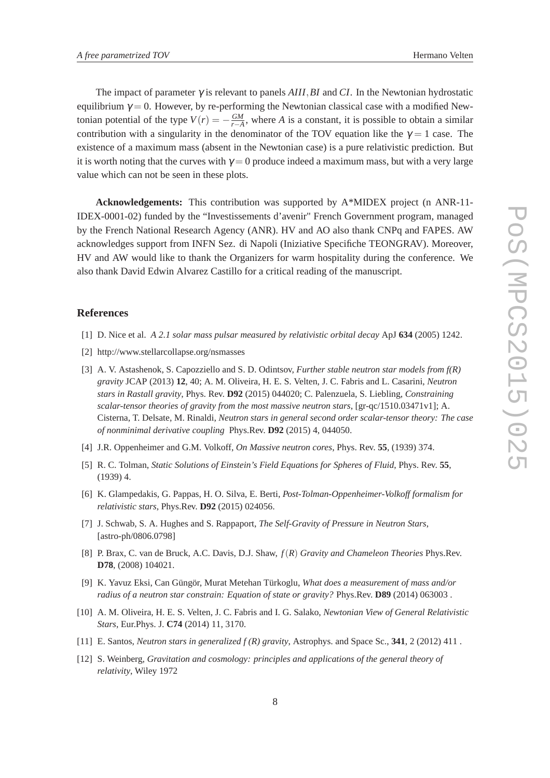The impact of parameter γ is relevant to panels *AIII*,*BI* and *CI*. In the Newtonian hydrostatic equilibrium  $\gamma = 0$ . However, by re-performing the Newtonian classical case with a modified Newtonian potential of the type  $V(r) = -\frac{GM}{r-A}$  $\frac{GM}{r-A}$ , where *A* is a constant, it is possible to obtain a similar contribution with a singularity in the denominator of the TOV equation like the  $\gamma = 1$  case. The existence of a maximum mass (absent in the Newtonian case) is a pure relativistic prediction. But it is worth noting that the curves with  $\gamma = 0$  produce indeed a maximum mass, but with a very large value which can not be seen in these plots.

**Acknowledgements:** This contribution was supported by A\*MIDEX project (n ANR-11- IDEX-0001-02) funded by the "Investissements d'avenir" French Government program, managed by the French National Research Agency (ANR). HV and AO also thank CNPq and FAPES. AW acknowledges support from INFN Sez. di Napoli (Iniziative Specifiche TEONGRAV). Moreover, HV and AW would like to thank the Organizers for warm hospitality during the conference. We also thank David Edwin Alvarez Castillo for a critical reading of the manuscript.

## **References**

- [1] D. Nice et al. *A 2.1 solar mass pulsar measured by relativistic orbital decay* ApJ **634** (2005) 1242.
- [2] http://www.stellarcollapse.org/nsmasses
- [3] A. V. Astashenok, S. Capozziello and S. D. Odintsov, *Further stable neutron star models from f(R) gravity* JCAP (2013) **12**, 40; A. M. Oliveira, H. E. S. Velten, J. C. Fabris and L. Casarini, *Neutron stars in Rastall gravity*, Phys. Rev. **D92** (2015) 044020; C. Palenzuela, S. Liebling, *Constraining scalar-tensor theories of gravity from the most massive neutron stars*, [gr-qc/1510.03471v1]; A. Cisterna, T. Delsate, M. Rinaldi, *Neutron stars in general second order scalar-tensor theory: The case of nonminimal derivative coupling* Phys.Rev. **D92** (2015) 4, 044050.
- [4] J.R. Oppenheimer and G.M. Volkoff, *On Massive neutron cores*, Phys. Rev. **55**, (1939) 374.
- [5] R. C. Tolman, *Static Solutions of Einstein's Field Equations for Spheres of Fluid*, Phys. Rev. **55**, (1939) 4.
- [6] K. Glampedakis, G. Pappas, H. O. Silva, E. Berti, *Post-Tolman-Oppenheimer-Volkoff formalism for relativistic stars*, Phys.Rev. **D92** (2015) 024056.
- [7] J. Schwab, S. A. Hughes and S. Rappaport, *The Self-Gravity of Pressure in Neutron Stars*, [astro-ph/0806.0798]
- [8] P. Brax, C. van de Bruck, A.C. Davis, D.J. Shaw, *f*(*R*) *Gravity and Chameleon Theories* Phys.Rev. **D78**, (2008) 104021.
- [9] K. Yavuz Eksi, Can Güngör, Murat Metehan Türkoglu, *What does a measurement of mass and/or radius of a neutron star constrain: Equation of state or gravity?* Phys.Rev. **D89** (2014) 063003 .
- [10] A. M. Oliveira, H. E. S. Velten, J. C. Fabris and I. G. Salako, *Newtonian View of General Relativistic Stars*, Eur.Phys. J. **C74** (2014) 11, 3170.
- [11] E. Santos, *Neutron stars in generalized f (R) gravity*, Astrophys. and Space Sc., **341**, 2 (2012) 411 .
- [12] S. Weinberg, *Gravitation and cosmology: principles and applications of the general theory of relativity*, Wiley 1972